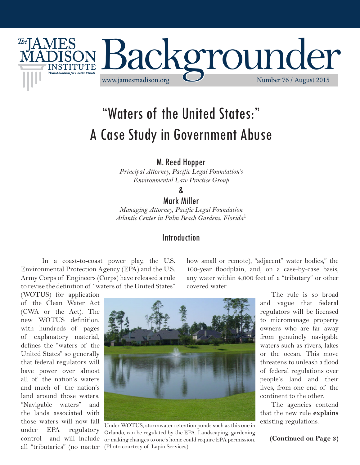

# "Waters of the United States:" A Case Study in Government Abuse

M. Reed Hopper

*Principal Attorney, Pacific Legal Foundation's Environmental Law Practice Group*

&

#### Mark Miller

*Managing Attorney, Pacific Legal Foundation Atlantic Center in Palm Beach Gardens, Florida*<sup>1</sup>

#### Introduction

In a coast-to-coast power play, the U.S. Environmental Protection Agency (EPA) and the U.S. Army Corps of Engineers (Corps) have released a rule to revise the definition of "waters of the United States"

how small or remote), "adjacent" water bodies," the 100-year floodplain, and, on a case-by-case basis, any water within 4,000 feet of a "tributary" or other covered water.

(WOTUS) for application of the Clean Water Act (CWA or the Act). The new WOTUS definition, with hundreds of pages of explanatory material, defines the "waters of the United States" so generally that federal regulators will have power over almost all of the nation's waters and much of the nation's land around those waters. "Navigable waters" and the lands associated with those waters will now fall under EPA regulatory control and will include all "tributaries" (no matter



Under WOTUS, stormwater retention ponds such as this one in Orlando, can be regulated by the EPA. Landscaping, gardening or making changes to one's home could require EPA permission. (Photo courtesy of Lapin Services)

The rule is so broad and vague that federal regulators will be licensed to micromanage property owners who are far away from genuinely navigable waters such as rivers, lakes or the ocean. This move threatens to unleash a flood of federal regulations over people's land and their lives, from one end of the continent to the other.

The agencies contend that the new rule **explains** existing regulations.

**(Continued on Page 3)**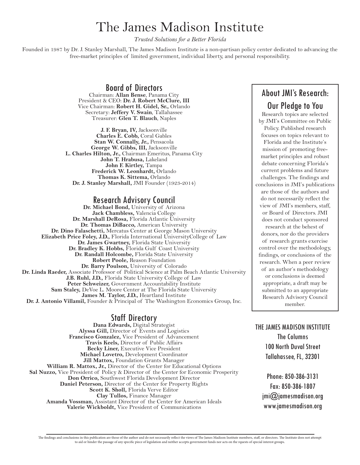## The James Madison Institute

*Trusted Solutions for a Better Florida*

Founded in 1987 by Dr. J. Stanley Marshall, The James Madison Institute is a non-partisan policy center dedicated to advancing the free-market principles of limited government, individual liberty, and personal responsibility.

> Board of Directors Chairman: **Allan Bense**, Panama City

President & CEO: **Dr. J. Robert McClure, III** Vice Chairman: **Robert H. Gidel, Sr.,** Orlando Secretary: **Jeffery V. Swain**, Tallahassee Treasurer: **Glen T. Blauch**, Naples

**J. F. Bryan, IV,** Jacksonville **Charles E. Cobb,** Coral Gables **Stan W. Connally, Jr.,** Pensacola **George W. Gibbs, III,** Jacksonville **L. Charles Hilton, Jr.,** Chairman Emeritus, Panama City **John T. Hrabusa,** Lakeland **John F. Kirtley,** Tampa **Frederick W. Leonhardt,** Orlando **Thomas K. Sittema,** Orlando **Dr. J. Stanley Marshall,** JMI Founder (1923-2014)

## Research Advisory Council **Dr. Michael Bond,** University of Arizona

**Jack Chambless,** Valencia College **Dr. Marshall DeRosa,** Florida Atlantic University **Dr. Thomas DiBacco,** American University **Dr. Dino Falaschetti,** Mercatus Center at George Mason University **Elizabeth Price Foley, J.D.,** Florida International UniversityCollege of Law **Dr. James Gwartney,** Florida State University **Dr. Bradley K. Hobbs,** Florida Gulf Coast University **Dr. Randall Holcombe,** Florida State University **Robert Poole,** Reason Foundation **Dr. Barry Poulson,** University of Colorado **Dr. Linda Raeder,** Associate Professor of Political Science at Palm Beach Atlantic University **J.B. Ruhl, J.D.,** Florida State University College of Law Peter Schweizer, Government Accountability Institute **Sam Staley,** DeVoe L. Moore Center at The Florida State University **James M. Taylor, J.D.,** Heartland Institute **Dr. J. Antonio Villamil,** Founder & Principal of The Washington Economics Group, Inc.

Staff Directory **Dana Edwards,** Digital Strategist **Alyssa Gill,** Director of Events and Logistics **Francisco Gonzalez,** Vice President of Advancement **Travis Keels,** Director of Public Affairs **Becky Liner,** Executive Vice President **Michael Lovetro,** Development Coordinator **Jill Mattox,** Foundation Grants Manager **William R. Mattox, Jr.,** Director of the Center for Educational Options **Sal Nuzzo,** Vice President of Policy & Director of the Center for Economic Prosperity **Don Orrico,** Southwest Florida Development Director Daniel Peterson, Director of the Center for Property Rights **Scott K. Sholl,** Florida Verve Editor **Clay Tullos,** Finance Manager **Amanda Vossman,** Assistant Director of the Center for American Ideals **Valerie Wickboldt,** Vice President of Communications

### About JMI's Research: Our Pledge to You

Research topics are selected by JMI's Committee on Public Policy. Published research focuses on topics relevant to Florida and the Institute's mission of promoting freemarket principles and robust debate concerning Florida's current problems and future challenges. The findings and conclusions in JMI's publications are those of the authors and do not necessarily reflect the view of JMI's members, staff, or Board of Directors. JMI does not conduct sponsored research at the behest of donors, nor do the providers of research grants exercise control over the methodology, findings, or conclusions of the research. When a peer review of an author's methodology or conclusions is deemed appropriate, a draft may be submitted to an appropriate Research Advisory Council member.

THE JAMES MADISON INSTITUTE

The Columns 100 North Duval Street Tallahassee, FL, 32301

Phone: 850-386-3131 Fax: 850-386-1807  $jm(\mathcal{Q})$ jamesmadison.org www.jamesmadison.org

The findings and conclusions in this publication are those of the author and do not necessarily reflect the views of The James Madison Institute members, staff, or directors. The Institute does not attempt<br>to aid or hinder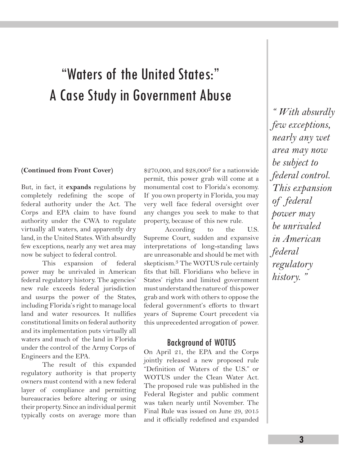# "Waters of the United States:" A Case Study in Government Abuse

#### **(Continued from Front Cover)**

But, in fact, it **expands** regulations by completely redefining the scope of federal authority under the Act. The Corps and EPA claim to have found authority under the CWA to regulate virtually all waters, and apparently dry land, in the United States. With absurdly few exceptions, nearly any wet area may now be subject to federal control.

This expansion of federal power may be unrivaled in American federal regulatory history. The agencies' new rule exceeds federal jurisdiction and usurps the power of the States, including Florida's right to manage local land and water resources. It nullifies constitutional limits on federal authority and its implementation puts virtually all waters and much of the land in Florida under the control of the Army Corps of Engineers and the EPA.

The result of this expanded regulatory authority is that property owners must contend with a new federal layer of compliance and permitting bureaucracies before altering or using their property. Since an individual permit typically costs on average more than \$270,000, and \$28,000<sup>2</sup> for a nationwide permit, this power grab will come at a monumental cost to Florida's economy. If you own property in Florida, you may very well face federal oversight over any changes you seek to make to that property, because of this new rule.

According to the U.S. Supreme Court, sudden and expansive interpretations of long-standing laws are unreasonable and should be met with skepticism.3 The WOTUS rule certainly fits that bill. Floridians who believe in States' rights and limited government must understand the nature of this power grab and work with others to oppose the federal government's efforts to thwart years of Supreme Court precedent via this unprecedented arrogation of power.

#### Background of WOTUS

On April 21, the EPA and the Corps jointly released a new proposed rule "Definition of Waters of the U.S." or WOTUS under the Clean Water Act. The proposed rule was published in the Federal Register and public comment was taken nearly until November. The Final Rule was issued on June 29, 2015 and it officially redefined and expanded

*" With absurdly few exceptions, nearly any wet area may now be subject to federal control. This expansion of federal power may be unrivaled in American federal regulatory history. "*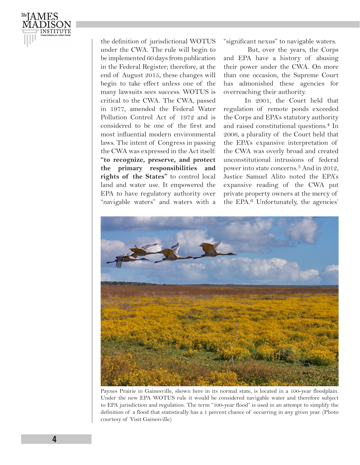

the definition of jurisdictional WOTUS under the CWA. The rule will begin to be implemented 60 days from publication in the Federal Register; therefore, at the end of August 2015, these changes will begin to take effect unless one of the many lawsuits sees success. WOTUS is critical to the CWA. The CWA, passed in 1977, amended the Federal Water Pollution Control Act of 1972 and is considered to be one of the first and most influential modern environmental laws. The intent of Congress in passing the CWA was expressed in the Act itself: **"to recognize, preserve, and protect the primary responsibilities and rights of the States"** to control local land and water use. It empowered the EPA to have regulatory authority over "navigable waters" and waters with a

"significant nexus" to navigable waters.

 But, over the years, the Corps and EPA have a history of abusing their power under the CWA. On more than one occasion, the Supreme Court has admonished these agencies for overreaching their authority.

In 2001, the Court held that regulation of remote ponds exceeded the Corps and EPA's statutory authority and raised constitutional questions.4 In 2006, a plurality of the Court held that the EPA's expansive interpretation of the CWA was overly broad and created unconstitutional intrusions of federal power into state concerns.5 And in 2012, Justice Samuel Alito noted the EPA's expansive reading of the CWA put private property owners at the mercy of the EPA.6 Unfortunately, the agencies'



Paynes Prairie in Gainesville, shown here in its normal state, is located in a 100-year floodplain. Under the new EPA WOTUS rule it would be considered navigable water and therefore subject to EPA jurisdiction and regulation. The term "100-year flood" is used in an attempt to simplify the definition of a flood that statistically has a 1 percent chance of occurring in any given year. (Photo courtesy of Visit Gainesville)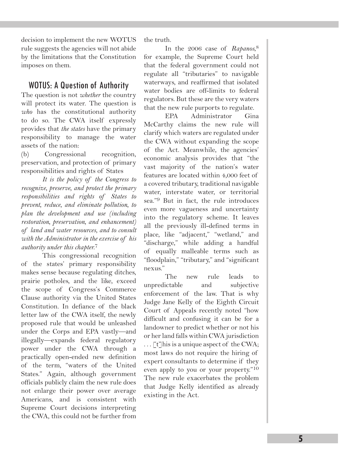decision to implement the new WOTUS rule suggests the agencies will not abide by the limitations that the Constitution imposes on them.

#### WOTUS: A Question of Authority

The question is not *whether* the country will protect its water. The question is *who* has the constitutional authority to do so. The CWA itself expressly provides that *the states* have the primary responsibility to manage the water assets of the nation:

(b) Congressional recognition, preservation, and protection of primary responsibilities and rights of States

*It is the policy of the Congress to recognize, preserve, and protect the primary responsibilities and rights of States to prevent, reduce, and eliminate pollution, to plan the development and use (including restoration, preservation, and enhancement) of land and water resources, and to consult with the Administrator in the exercise of his authority under this chapter.*7

This congressional recognition of the states' primary responsibility makes sense because regulating ditches, prairie potholes, and the like, exceed the scope of Congress's Commerce Clause authority via the United States Constitution. In defiance of the black letter law of the CWA itself, the newly proposed rule that would be unleashed under the Corps and EPA vastly—and illegally—expands federal regulatory power under the CWA through a practically open-ended new definition of the term, "waters of the United States." Again, although government officials publicly claim the new rule does not enlarge their power over average Americans, and is consistent with Supreme Court decisions interpreting the CWA, this could not be further from

the truth.

In the 2006 case of *Rapanos*, 8 for example, the Supreme Court held that the federal government could not regulate all "tributaries" to navigable waterways, and reaffirmed that isolated water bodies are off-limits to federal regulators. But these are the very waters that the new rule purports to regulate.

EPA Administrator Gina McCarthy claims the new rule will clarify which waters are regulated under the CWA without expanding the scope of the Act. Meanwhile, the agencies' economic analysis provides that "the vast majority of the nation's water features are located within 4,000 feet of a covered tributary, traditional navigable water, interstate water, or territorial sea."9 But in fact, the rule introduces even more vagueness and uncertainty into the regulatory scheme. It leaves all the previously ill-defined terms in place, like "adjacent," "wetland," and "discharge," while adding a handful of equally malleable terms such as "floodplain," "tributary," and "significant nexus."

The new rule leads to unpredictable and subjective enforcement of the law. That is why Judge Jane Kelly of the Eighth Circuit Court of Appeals recently noted "how difficult and confusing it can be for a landowner to predict whether or not his or her land falls within CWA jurisdiction  $\ldots$  [t] his is a unique aspect of the CWA; most laws do not require the hiring of expert consultants to determine if they even apply to you or your property."10 The new rule exacerbates the problem that Judge Kelly identified as already existing in the Act.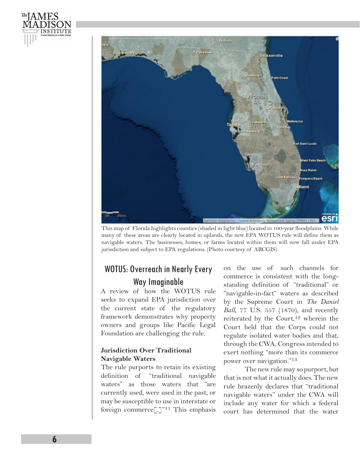



This map of Florida highlights counties (shaded in light blue) located in 100-year floodplains. While many of these areas are clearly located in uplands, the new EPA WOTUS rule will define them as navigable waters. The businesses, homes, or farms located within them will now fall under EPA jurisdiction and subject to EPA regulations. (Photo courtesy of ARCGIS)

### WOTUS: Overreach in Nearly Every Way Imaginable

A review of how the WOTUS rule seeks to expand EPA jurisdiction over the current state of the regulatory framework demonstrates why property owners and groups like Pacific Legal Foundation are challenging the rule.

#### **Jurisdiction Over Traditional Navigable Waters**

The rule purports to retain its existing definition of "traditional navigable waters" as those waters that "are currently used, were used in the past, or may be susceptible to use in interstate or foreign commerce[.]"11 This emphasis on the use of such channels for commerce is consistent with the longstanding definition of "traditional" or "navigable-in-fact" waters as described by the Supreme Court in *The Daniel Ball*, 77 U.S. 557 (1870), and recently reiterated by the Court,<sup>12</sup> wherein the Court held that the Corps could not regulate isolated water bodies and that, through the CWA, Congress intended to exert nothing "more than its commerce power over navigation."13

The new rule may so purport, but that is not what it actually does. The new rule brazenly declares that "traditional navigable waters" under the CWA will include any water for which a federal court has determined that the water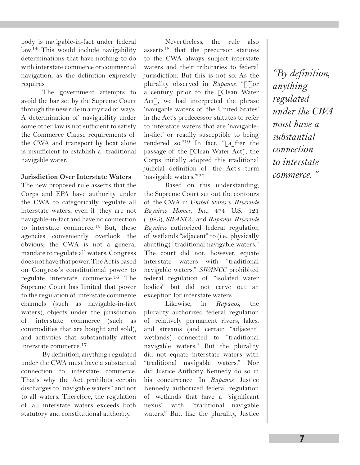body is navigable-in-fact under federal law.14 This would include navigability determinations that have nothing to do with interstate commerce or commercial navigation, as the definition expressly requires.

The government attempts to avoid the bar set by the Supreme Court through the new rule in a myriad of ways. A determination of navigability under some other law is not sufficient to satisfy the Commerce Clause requirements of the CWA and transport by boat alone is insufficient to establish a "traditional navigable water."

#### **Jurisdiction Over Interstate Waters**

The new proposed rule asserts that the Corps and EPA have authority under the CWA to categorically regulate all interstate waters, even if they are not navigable-in-fact and have no connection to interstate commerce.<sup>15</sup> But, these agencies conveniently overlook the obvious; the CWA is not a general mandate to regulate all waters. Congress does not have that power. The Act is based on Congress's constitutional power to regulate interstate commerce.16 The Supreme Court has limited that power to the regulation of interstate commerce channels (such as navigable-in-fact waters), objects under the jurisdiction of interstate commerce (such as commodities that are bought and sold), and activities that substantially affect interstate commerce.17

By definition, anything regulated under the CWA must have a substantial connection to interstate commerce. That's why the Act prohibits certain discharges to "navigable waters" and not to all waters. Therefore, the regulation of all interstate waters exceeds both statutory and constitutional authority.

Nevertheless, the rule also asserts18 that the precursor statutes to the CWA always subject interstate waters and their tributaries to federal jurisdiction. But this is not so. As the plurality observed in *Rapanos*, "[f]or a century prior to the [Clean Water Act], we had interpreted the phrase 'navigable waters of the United States' in the Act's predecessor statutes to refer to interstate waters that are 'navigablein-fact' or readily susceptible to being rendered so."19 In fact, "[a]fter the passage of the [Clean Water Act], the Corps initially adopted this traditional judicial definition of the Act's term 'navigable waters.'"20

Based on this understanding, the Supreme Court set out the contours of the CWA in *United States v. Riverside Bayview Homes, Inc.*, 474 U.S. 121 (1985), *SWANCC*, and *Rapanos*. *Riverside Bayview* authorized federal regulation of wetlands "adjacent" to (i.e., physically abutting) "traditional navigable waters." The court did not, however, equate interstate waters with "traditional navigable waters." *SWANCC* prohibited federal regulation of "isolated water bodies" but did not carve out an exception for interstate waters.

Likewise, in *Rapanos*, the plurality authorized federal regulation of relatively permanent rivers, lakes, and streams (and certain "adjacent" wetlands) connected to "traditional navigable waters." But the plurality did not equate interstate waters with "traditional navigable waters." Nor did Justice Anthony Kennedy do so in his concurrence. In *Rapanos*, Justice Kennedy authorized federal regulation of wetlands that have a "significant nexus" with "traditional navigable waters." But, like the plurality, Justice

*"By definition, anything regulated under the CWA must have a substantial connection to interstate commerce. "*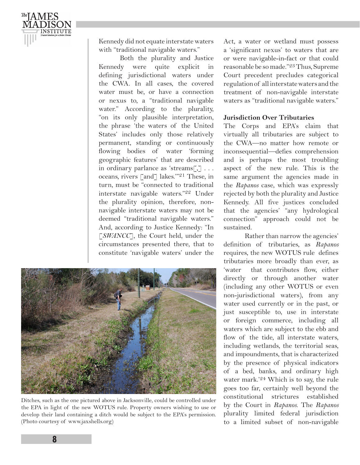

Kennedy did not equate interstate waters with "traditional navigable waters."

Both the plurality and Justice Kennedy were quite explicit in defining jurisdictional waters under the CWA. In all cases, the covered water must be, or have a connection or nexus to, a "traditional navigable water." According to the plurality, "on its only plausible interpretation, the phrase 'the waters of the United States' includes only those relatively permanent, standing or continuously flowing bodies of water 'forming geographic features' that are described in ordinary parlance as 'streams[,] . . . oceans, rivers [and] lakes.'"21 These, in turn, must be "connected to traditional interstate navigable waters."22 Under the plurality opinion, therefore, nonnavigable interstate waters may not be deemed "traditional navigable waters." And, according to Justice Kennedy: "In [*SWANCC*], the Court held, under the circumstances presented there, that to constitute 'navigable waters' under the



Ditches, such as the one pictured above in Jacksonville, could be controlled under the EPA in light of the new WOTUS rule. Property owners wishing to use or develop their land containing a ditch would be subject to the EPA's permission. (Photo courtesy of www.jaxshells.org)

Act, a water or wetland must possess a 'significant nexus' to waters that are or were navigable-in-fact or that could reasonable be so made."23 Thus, Supreme Court precedent precludes categorical regulation of all interstate waters and the treatment of non-navigable interstate waters as "traditional navigable waters."

#### **Jurisdiction Over Tributaries**

The Corps and EPA's claim that virtually all tributaries are subject to the CWA—no matter how remote or inconsequential—defies comprehension and is perhaps the most troubling aspect of the new rule. This is the same argument the agencies made in the *Rapanos* case, which was expressly rejected by both the plurality and Justice Kennedy. All five justices concluded that the agencies' "any hydrological connection" approach could not be sustained.

Rather than narrow the agencies' definition of tributaries, as *Rapanos* requires, the new WOTUS rule defines tributaries more broadly than ever, as 'water that contributes flow, either directly or through another water (including any other WOTUS or even non-jurisdictional waters), from any water used currently or in the past, or just susceptible to, use in interstate or foreign commerce, including all waters which are subject to the ebb and flow of the tide, all interstate waters, including wetlands, the territorial seas, and impoundments, that is characterized by the presence of physical indicators of a bed, banks, and ordinary high water mark.'24 Which is to say, the rule goes too far, certainly well beyond the constitutional strictures established by the Court in *Rapanos*. The *Rapanos* plurality limited federal jurisdiction to a limited subset of non-navigable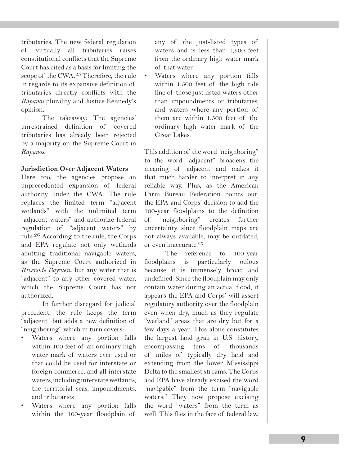tributaries. The new federal regulation of virtually all tributaries raises constitutional conflicts that the Supreme Court has cited as a basis for limiting the scope of the CWA.<sup>25</sup> Therefore, the rule in regards to its expansive definition of tributaries directly conflicts with the *Rapanos* plurality and Justice Kennedy's opinion.

The takeaway: The agencies' unrestrained definition of covered tributaries has already been rejected by a majority on the Supreme Court in *Rapanos*.

#### **Jurisdiction Over Adjacent Waters**

Here too, the agencies propose an unprecedented expansion of federal authority under the CWA. The rule replaces the limited term "adjacent wetlands" with the unlimited term "adjacent waters" and authorize federal regulation of "adjacent waters" by rule.26 According to the rule, the Corps and EPA regulate not only wetlands abutting traditional navigable waters, as the Supreme Court authorized in *Riverside Bayview*, but any water that is "adjacent" to any other covered water, which the Supreme Court has not authorized.

In further disregard for judicial precedent, the rule keeps the term "adjacent" but adds a new definition of "neighboring" which in turn covers:

- Waters where any portion falls within 100 feet of an ordinary high water mark of waters ever used or that could be used for interstate or foreign commerce, and all interstate waters, including interstate wetlands, the territorial seas, impoundments, and tributaries
- Waters where any portion falls within the 100-year floodplain of

any of the just-listed types of waters and is less than 1,500 feet from the ordinary high water mark of that water

Waters where any portion falls within 1,500 feet of the high tide line of those just listed waters other than impoundments or tributaries, and waters where any portion of them are within 1,500 feet of the ordinary high water mark of the Great Lakes.

This addition of the word "neighboring" to the word "adjacent" broadens the meaning of adjacent and makes it that much harder to interpret in any reliable way. Plus, as the American Farm Bureau Federation points out, the EPA and Corps' decision to add the 100-year floodplains to the definition of "neighboring" creates further uncertainty since floodplain maps are not always available, may be outdated, or even inaccurate.27

The reference to 100-year floodplains is particularly odious because it is immensely broad and undefined. Since the floodplain may only contain water during an actual flood, it appears the EPA and Corps' will assert regulatory authority over the floodplain even when dry, much as they regulate "wetland" areas that are dry but for a few days a year. This alone constitutes the largest land grab in U.S. history, encompassing tens of thousands of miles of typically dry land and extending from the lower Mississippi Delta to the smallest streams. The Corps and EPA have already excised the word "navigable" from the term "navigable waters." They now propose excising the word "waters" from the term as well. This flies in the face of federal law,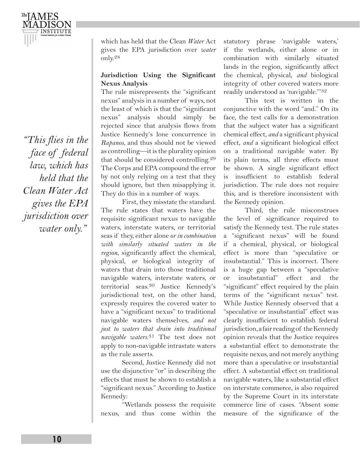*"This flies in the face of federal law, which has held that the Clean Water Act gives the EPA jurisdiction over water only."*

which has held that the Clean *Water* Act gives the EPA jurisdiction over *water* only.28

#### **Jurisdiction Using the Significant Nexus Analysis**

The rule misrepresents the "significant nexus" analysis in a number of ways, not the least of which is that the "significant nexus" analysis should simply be rejected since that analysis flows from Justice Kennedy's lone concurrence in *Rapanos*, and thus should not be viewed as controlling—it is the plurality opinion that should be considered controlling.29 The Corps and EPA compound the error by not only relying on a test that they should ignore, but then misapplying it. They do this in a number of ways.

First, they misstate the standard. The rule states that waters have the requisite significant nexus to navigable waters, interstate waters, or territorial seas if they, either alone *or in combination with similarly situated waters in the region*, significantly affect the chemical, physical, *or* biological integrity of waters that drain into those traditional navigable waters, interstate waters, or territorial seas.30 Justice Kennedy's jurisdictional test, on the other hand, expressly requires the covered water to have a "significant nexus" to traditional navigable waters themselves, *and not just to waters that drain into traditional navigable waters*. 31 The test does not apply to non-navigable intrastate waters as the rule asserts.

Second, Justice Kennedy did not use the disjunctive "or" in describing the effects that must be shown to establish a "significant nexus." According to Justice Kennedy:

"Wetlands possess the requisite nexus, and thus come within the statutory phrase 'navigable waters,' if the wetlands, either alone or in combination with similarly situated lands in the region, significantly affect the chemical, physical, *and* biological integrity of other covered waters more readily understood as 'navigable.'"32

This test is written in the conjunctive with the word "and." On its face, the test calls for a demonstration that the subject water has a significant chemical effect, *and* a significant physical effect, *and* a significant biological effect on a traditional navigable water. By its plain terms, all three effects must be shown. A single significant effect is insufficient to establish federal jurisdiction. The rule does not require this, and is therefore inconsistent with the Kennedy opinion.

Third, the rule misconstrues the level of significance required to satisfy the Kennedy test. The rule states a "significant nexus" will be found if a chemical, physical, or biological effect is more than "speculative or insubstantial." This is incorrect. There is a huge gap between a "speculative or insubstantial" effect and the "significant" effect required by the plain terms of the "significant nexus" test. While Justice Kennedy observed that a "speculative or insubstantial" effect was clearly insufficient to establish federal jurisdiction, a fair reading of the Kennedy opinion reveals that the Justice requires a substantial effect to demonstrate the requisite nexus, and not merely anything more than a speculative or insubstantial effect. A substantial effect on traditional navigable waters, like a substantial effect on interstate commerce, is also required by the Supreme Court in its interstate commerce line of cases. "Absent some measure of the significance of the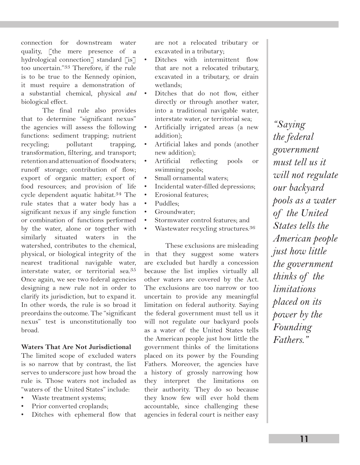connection for downstream water quality, [the mere presence of a hydrological connection<sup>7</sup> standard [is7] too uncertain."33 Therefore, if the rule is to be true to the Kennedy opinion, it must require a demonstration of a substantial chemical, physical *and*  biological effect.

The final rule also provides that to determine "significant nexus" the agencies will assess the following functions: sediment trapping; nutrient recycling; pollutant trapping, transformation, filtering, and transport; retention and attenuation of floodwaters; runoff storage; contribution of flow; export of organic matter; export of food resources; and provision of life cycle dependent aquatic habitat.34 The rule states that a water body has a significant nexus if any single function or combination of functions performed by the water, alone or together with similarly situated waters in the watershed, contributes to the chemical, physical, or biological integrity of the nearest traditional navigable water, interstate water, or territorial sea.35 Once again, we see two federal agencies designing a new rule not in order to clarify its jurisdiction, but to expand it. In other words, the rule is so broad it preordains the outcome. The "significant nexus" test is unconstitutionally too broad.

#### **Waters That Are Not Jurisdictional**

The limited scope of excluded waters is so narrow that by contrast, the list serves to underscore just how broad the rule is. Those waters not included as "waters of the United States" include:

- Waste treatment systems;
- Prior converted croplands;
- Ditches with ephemeral flow that

are not a relocated tributary or excavated in a tributary;

- Ditches with intermittent flow that are not a relocated tributary, excavated in a tributary, or drain wetlands;
- Ditches that do not flow, either directly or through another water, into a traditional navigable water, interstate water, or territorial sea;
- Artificially irrigated areas (a new addition);
- Artificial lakes and ponds (another new addition);
- Artificial reflecting pools or swimming pools;
- Small ornamental waters;
- Incidental water-filled depressions;
- Erosional features;
- Puddles;
- Groundwater:
- Stormwater control features: and
- Wastewater recycling structures.<sup>36</sup>

These exclusions are misleading in that they suggest some waters are excluded but hardly a concession because the list implies virtually all other waters are covered by the Act. The exclusions are too narrow or too uncertain to provide any meaningful limitation on federal authority. Saying the federal government must tell us it will not regulate our backyard pools as a water of the United States tells the American people just how little the government thinks of the limitations placed on its power by the Founding Fathers. Moreover, the agencies have a history of grossly narrowing how they interpret the limitations on their authority. They do so because they know few will ever hold them accountable, since challenging these agencies in federal court is neither easy

*"Saying the federal government must tell us it will not regulate our backyard pools as a water of the United States tells the American people just how little the government thinks of the limitations placed on its power by the Founding Fathers."*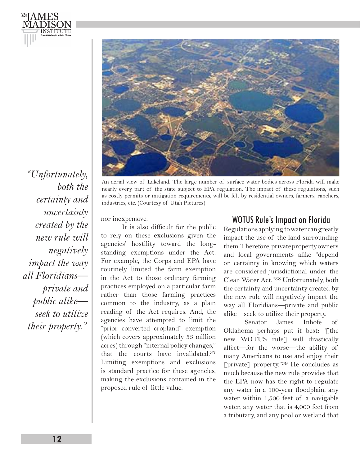

*"Unfortunately, both the certainty and uncertainty created by the new rule will negatively impact the way all Floridians private and public alike seek to utilize their property."*

<sup>The</sup> LAMES

INSTITUTE

An aerial view of Lakeland. The large number of surface water bodies across Florida will make nearly every part of the state subject to EPA regulation. The impact of these regulations, such as costly permits or mitigation requirements, will be felt by residential owners, farmers, ranchers, industries, etc. (Courtesy of Utah Pictures)

nor inexpensive.

It is also difficult for the public to rely on these exclusions given the agencies' hostility toward the longstanding exemptions under the Act. For example, the Corps and EPA have routinely limited the farm exemption in the Act to those ordinary farming practices employed on a particular farm rather than those farming practices common to the industry, as a plain reading of the Act requires. And, the agencies have attempted to limit the "prior converted cropland" exemption (which covers approximately 53 million acres) through "internal policy changes," that the courts have invalidated.37 Limiting exemptions and exclusions is standard practice for these agencies, making the exclusions contained in the proposed rule of little value.

#### WOTUS Rule's Impact on Florida

Regulations applying to water can greatly impact the use of the land surrounding them. Therefore, private property owners and local governments alike "depend on certainty in knowing which waters are considered jurisdictional under the Clean Water Act."38 Unfortunately, both the certainty and uncertainty created by the new rule will negatively impact the way all Floridians—private and public alike—seek to utilize their property.

Senator James Inhofe of Oklahoma perhaps put it best: "[the new WOTUS rule] will drastically affect—for the worse—the ability of many Americans to use and enjoy their [private] property."39 He concludes as much because the new rule provides that the EPA now has the right to regulate any water in a 100-year floodplain, any water within 1,500 feet of a navigable water, any water that is 4,000 feet from a tributary, and any pool or wetland that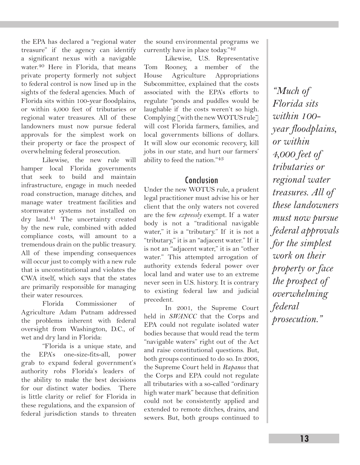the EPA has declared a "regional water treasure" if the agency can identify a significant nexus with a navigable water.40 Here in Florida, that means private property formerly not subject to federal control is now lined up in the sights of the federal agencies. Much of Florida sits within 100-year floodplains, or within 4,000 feet of tributaries or regional water treasures. All of these landowners must now pursue federal approvals for the simplest work on their property or face the prospect of overwhelming federal prosecution.

Likewise, the new rule will hamper local Florida governments that seek to build and maintain infrastructure, engage in much needed road construction, manage ditches, and manage water treatment facilities and stormwater systems not installed on dry land.41 The uncertainty created by the new rule, combined with added compliance costs, will amount to a tremendous drain on the public treasury. All of these impending consequences will occur just to comply with a new rule that is unconstitutional and violates the CWA itself, which says that the states are primarily responsible for managing their water resources.

Florida Commissioner of Agriculture Adam Putnam addressed the problems inherent with federal oversight from Washington, D.C., of wet and dry land in Florida:

"Florida is a unique state, and the EPA's one-size-fits-all, power grab to expand federal government's authority robs Florida's leaders of the ability to make the best decisions for our distinct water bodies. There is little clarity or relief for Florida in these regulations, and the expansion of federal jurisdiction stands to threaten

the sound environmental programs we currently have in place today."42

Likewise, U.S. Representative Tom Rooney, a member of the House Agriculture Appropriations Subcommittee, explained that the costs associated with the EPA's efforts to regulate "ponds and puddles would be laughable if the costs weren't so high. Complying [with the new WOTUS rule] will cost Florida farmers, families, and local governments billions of dollars. It will slow our economic recovery, kill jobs in our state, and hurt our farmers' ability to feed the nation."43

#### Conclusion

Under the new WOTUS rule, a prudent legal practitioner must advise his or her client that the only waters not covered are the few *expressly* exempt. If a water body is not a "traditional navigable water," it is a "tributary." If it is not a "tributary," it is an "adjacent water." If it is not an "adjacent water," it is an "other water." This attempted arrogation of authority extends federal power over local land and water use to an extreme never seen in U.S. history. It is contrary to existing federal law and judicial precedent.

In 2001, the Supreme Court held in *SWANCC* that the Corps and EPA could not regulate isolated water bodies because that would read the term "navigable waters" right out of the Act and raise constitutional questions. But, both groups continued to do so. In 2006, the Supreme Court held in *Rapanos* that the Corps and EPA could not regulate all tributaries with a so-called "ordinary high water mark" because that definition could not be consistently applied and extended to remote ditches, drains, and sewers. But, both groups continued to

*"Much of Florida sits within 100 year floodplains, or within 4,000 feet of tributaries or regional water treasures. All of these landowners must now pursue federal approvals for the simplest work on their property or face the prospect of overwhelming federal prosecution."*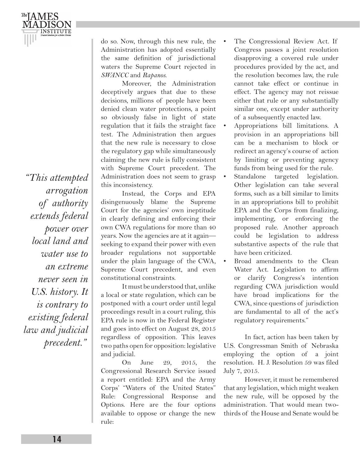*"This attempted arrogation of authority extends federal power over local land and water use to an extreme never seen in U.S. history. It is contrary to existing federal law and judicial precedent."*

do so. Now, through this new rule, the Administration has adopted essentially the same definition of jurisdictional waters the Supreme Court rejected in *SWANCC* and *Rapanos*.

Moreover, the Administration deceptively argues that due to these decisions, millions of people have been denied clean water protections, a point so obviously false in light of state regulation that it fails the straight face test. The Administration then argues that the new rule is necessary to close the regulatory gap while simultaneously claiming the new rule is fully consistent with Supreme Court precedent. The Administration does not seem to grasp this inconsistency.

Instead, the Corps and EPA disingenuously blame the Supreme Court for the agencies' own ineptitude in clearly defining and enforcing their own CWA regulations for more than 40 years. Now the agencies are at it again seeking to expand their power with even broader regulations not supportable under the plain language of the CWA, Supreme Court precedent, and even constitutional constraints.

It must be understood that, unlike a local or state regulation, which can be postponed with a court order until legal proceedings result in a court ruling, this EPA rule is now in the Federal Register and goes into effect on August 28, 2015 regardless of opposition. This leaves two paths open for opposition: legislative and judicial.

On June 29, 2015, the Congressional Research Service issued a report entitled: EPA and the Army Corps' "Waters of the United States" Rule: Congressional Response and Options. Here are the four options available to oppose or change the new rule:

- The Congressional Review Act. If Congress passes a joint resolution disapproving a covered rule under procedures provided by the act, and the resolution becomes law, the rule cannot take effect or continue in effect. The agency may not reissue either that rule or any substantially similar one, except under authority of a subsequently enacted law.
- Appropriations bill limitations. A provision in an appropriations bill can be a mechanism to block or redirect an agency's course of action by limiting or preventing agency funds from being used for the rule.
- Standalone targeted legislation. Other legislation can take several forms, such as a bill similar to limits in an appropriations bill to prohibit EPA and the Corps from finalizing, implementing, or enforcing the proposed rule. Another approach could be legislation to address substantive aspects of the rule that have been criticized.
- Broad amendments to the Clean Water Act. Legislation to affirm or clarify Congress's intention regarding CWA jurisdiction would have broad implications for the CWA, since questions of jurisdiction are fundamental to all of the act's regulatory requirements."

In fact, action has been taken by U.S. Congressman Smith of Nebraska employing the option of a joint resolution. H. J. Resolution 59 was filed July 7, 2015.

However, it must be remembered that any legislation, which might weaken the new rule, will be opposed by the administration. That would mean twothirds of the House and Senate would be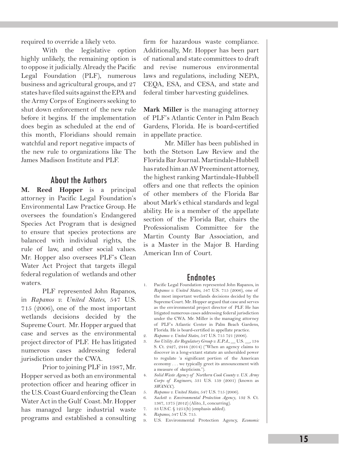required to override a likely veto.

With the legislative option highly unlikely, the remaining option is to oppose it judicially. Already the Pacific Legal Foundation (PLF), numerous business and agricultural groups, and 27 states have filed suits against the EPA and the Army Corps of Engineers seeking to shut down enforcement of the new rule before it begins. If the implementation does begin as scheduled at the end of this month, Floridians should remain watchful and report negative impacts of the new rule to organizations like The James Madison Institute and PLF.

#### About the Authors

**M. Reed Hopper** is a principal attorney in Pacific Legal Foundation's Environmental Law Practice Group. He oversees the foundation's Endangered Species Act Program that is designed to ensure that species protections are balanced with individual rights, the rule of law, and other social values. Mr. Hopper also oversees PLF's Clean Water Act Project that targets illegal federal regulation of wetlands and other waters.

PLF represented John Rapanos, in *Rapanos v. United States*, 547 U.S. 715 (2006), one of the most important wetlands decisions decided by the Supreme Court. Mr. Hopper argued that case and serves as the environmental project director of PLF. He has litigated numerous cases addressing federal jurisdiction under the CWA.

Prior to joining PLF in 1987, Mr. Hopper served as both an environmental protection officer and hearing officer in the U.S. Coast Guard enforcing the Clean Water Act in the Gulf Coast. Mr. Hopper has managed large industrial waste programs and established a consulting

firm for hazardous waste compliance. Additionally, Mr. Hopper has been part of national and state committees to draft and revise numerous environmental laws and regulations, including NEPA, CEQA, ESA, and CESA, and state and federal timber harvesting guidelines.

**Mark Miller** is the managing attorney of PLF's Atlantic Center in Palm Beach Gardens, Florida. He is board-certified in appellate practice.

Mr. Miller has been published in both the Stetson Law Review and the Florida Bar Journal. Martindale-Hubbell has rated him an AV Preeminent attorney, the highest ranking Martindale-Hubbell offers and one that reflects the opinion of other members of the Florida Bar about Mark's ethical standards and legal ability. He is a member of the appellate section of the Florida Bar, chairs the Professionalism Committee for the Martin County Bar Association, and is a Master in the Major B. Harding American Inn of Court.

- **Endnotes**<br>1. Pacific Legal Foundation represented John Rapanos, in *Rapanos v. United States*, 547 U.S. 715 (2006), one of the most important wetlands decisions decided by the Supreme Court. Mr. Hopper argued that case and serves as the environmental project director of PLF. He has litigated numerous cases addressing federal jurisdiction under the CWA. Mr. Miller is the managing attorney of PLF's Atlantic Center in Palm Beach Gardens, Florida. He is board-certified in appellate practice.
- 2. *Rapanos v. United States*, 547 U.S. 715 721 (2006).
- 3. *See Utility Air Regulatory Group v. E.P.A.*, \_\_ U.S. \_\_, 134 S. Ct. 2427, 2444 (2014) ("When an agency claims to discover in a long-extant statute an unheralded power to regulate 'a significant portion of the American economy . . . we typically greet its announcement with a measure of skepticism.").
- 4. *Solid Waste Agency of Northern Cook County v. U.S. Army Corps of Engineers*, 531 U.S. 159 (2001) (known as *SWANCC*).
- 5. *Rapanos v. United States*, 547 U.S. 715 (2006).
- 6. *Sackett v. Environmental Protection Agency*, 132 S. Ct. 1367, 1375 (2012) (Alito, J., concurring).
- 7. 33 U.S.C. § 1251(b) (emphasis added).
- 8. *Rapanos*, 547 U.S. 715.
- 9. U.S. Environmental Protection Agency, *Economic*